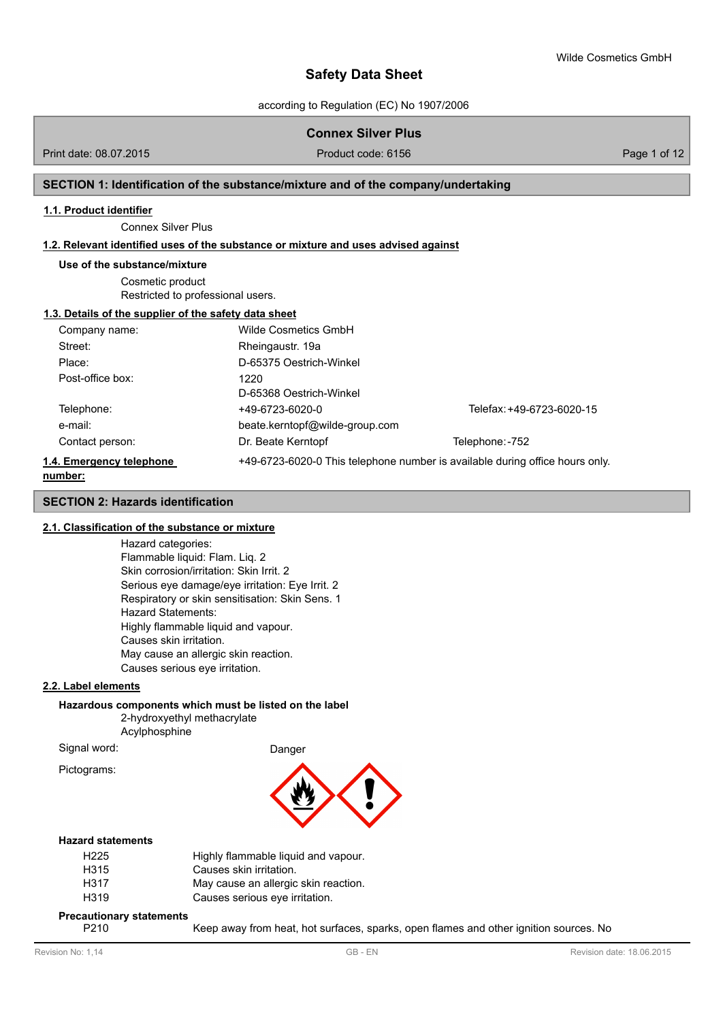according to Regulation (EC) No 1907/2006

# **Connex Silver Plus**

Print date: 08.07.2015 **Product code: 6156** Page 1 of 12

## **SECTION 1: Identification of the substance/mixture and of the company/undertaking**

#### **1.1. Product identifier**

Connex Silver Plus

#### **1.2. Relevant identified uses of the substance or mixture and uses advised against**

#### **Use of the substance/mixture**

Cosmetic product Restricted to professional users.

# **1.3. Details of the supplier of the safety data sheet**

| Company name:            | Wilde Cosmetics GmbH           |                                                                              |
|--------------------------|--------------------------------|------------------------------------------------------------------------------|
| Street:                  | Rheingaustr. 19a               |                                                                              |
| Place:                   | D-65375 Oestrich-Winkel        |                                                                              |
| Post-office box:         | 1220                           |                                                                              |
|                          | D-65368 Oestrich-Winkel        |                                                                              |
| Telephone:               | +49-6723-6020-0                | Telefax: +49-6723-6020-15                                                    |
| e-mail:                  | beate.kerntopf@wilde-group.com |                                                                              |
| Contact person:          | Dr. Beate Kerntopf             | Telephone: -752                                                              |
| 1.4. Emergency telephone |                                | +49-6723-6020-0 This telephone number is available during office hours only. |
| number:                  |                                |                                                                              |

# **SECTION 2: Hazards identification**

#### **2.1. Classification of the substance or mixture**

Hazard categories: Flammable liquid: Flam. Liq. 2 Skin corrosion/irritation: Skin Irrit. 2 Serious eye damage/eye irritation: Eye Irrit. 2 Respiratory or skin sensitisation: Skin Sens. 1 Hazard Statements: Highly flammable liquid and vapour. Causes skin irritation. May cause an allergic skin reaction. Causes serious eye irritation.

### **2.2. Label elements**

## **Hazardous components which must be listed on the label**

2-hydroxyethyl methacrylate Acylphosphine

Signal word: Danger Pictograms:



## **Hazard statements**

| H225 | Highly flammable liquid and vapour.  |
|------|--------------------------------------|
| H315 | Causes skin irritation.              |
| H317 | May cause an allergic skin reaction. |
| H319 | Causes serious eye irritation.       |

## **Precautionary statements**

P210 Keep away from heat, hot surfaces, sparks, open flames and other ignition sources. No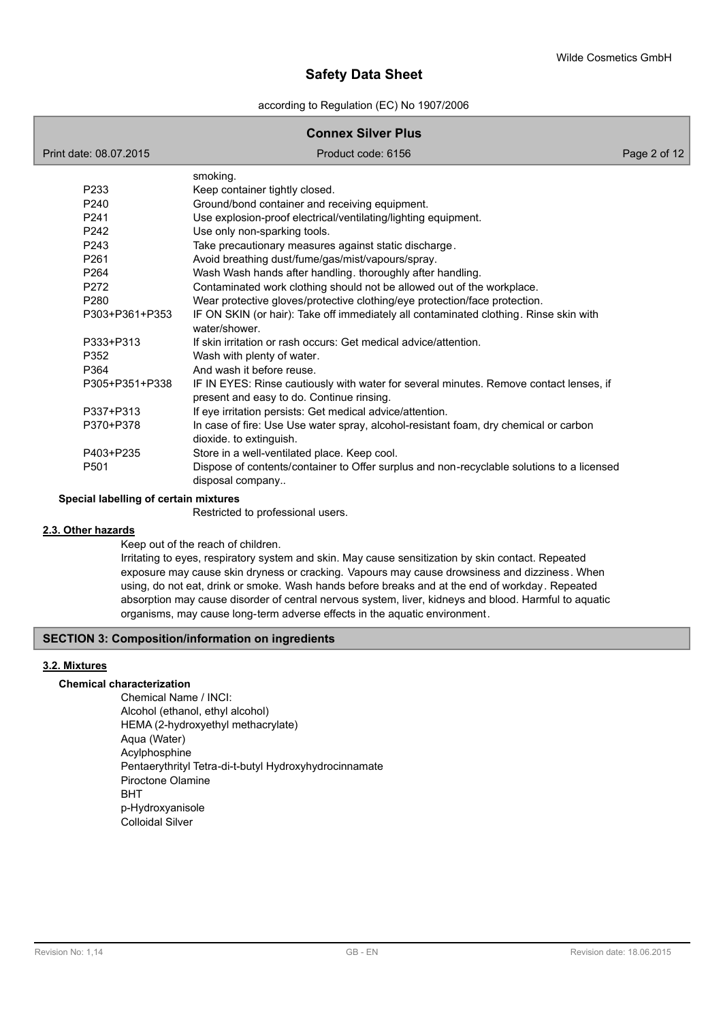according to Regulation (EC) No 1907/2006

# **Connex Silver Plus**

| Print date: 08.07.2015 | Product code: 6156                                                                                              | Page 2 of 12 |
|------------------------|-----------------------------------------------------------------------------------------------------------------|--------------|
|                        | smoking.                                                                                                        |              |
| P233                   | Keep container tightly closed.                                                                                  |              |
| P240                   | Ground/bond container and receiving equipment.                                                                  |              |
| P <sub>241</sub>       | Use explosion-proof electrical/ventilating/lighting equipment.                                                  |              |
| P242                   | Use only non-sparking tools.                                                                                    |              |
| P <sub>243</sub>       | Take precautionary measures against static discharge.                                                           |              |
| P261                   | Avoid breathing dust/fume/gas/mist/vapours/spray.                                                               |              |
| P <sub>264</sub>       | Wash Wash hands after handling. thoroughly after handling.                                                      |              |
| P272                   | Contaminated work clothing should not be allowed out of the workplace.                                          |              |
| P280                   | Wear protective gloves/protective clothing/eye protection/face protection.                                      |              |
| P303+P361+P353         | IF ON SKIN (or hair): Take off immediately all contaminated clothing. Rinse skin with<br>water/shower.          |              |
| P333+P313              | If skin irritation or rash occurs: Get medical advice/attention.                                                |              |
| P352                   | Wash with plenty of water.                                                                                      |              |
| P364                   | And wash it before reuse.                                                                                       |              |
| P305+P351+P338         | IF IN EYES: Rinse cautiously with water for several minutes. Remove contact lenses, if                          |              |
| P337+P313              | present and easy to do. Continue rinsing.                                                                       |              |
|                        | If eye irritation persists: Get medical advice/attention.                                                       |              |
| P370+P378              | In case of fire: Use Use water spray, alcohol-resistant foam, dry chemical or carbon<br>dioxide. to extinguish. |              |
| P403+P235              | Store in a well-ventilated place. Keep cool.                                                                    |              |
| P501                   | Dispose of contents/container to Offer surplus and non-recyclable solutions to a licensed<br>disposal company   |              |

#### **Special labelling of certain mixtures**

Restricted to professional users.

# **2.3. Other hazards**

Keep out of the reach of children.

Irritating to eyes, respiratory system and skin. May cause sensitization by skin contact. Repeated exposure may cause skin dryness or cracking. Vapours may cause drowsiness and dizziness. When using, do not eat, drink or smoke. Wash hands before breaks and at the end of workday. Repeated absorption may cause disorder of central nervous system, liver, kidneys and blood. Harmful to aquatic organisms, may cause long-term adverse effects in the aquatic environment.

# **SECTION 3: Composition/information on ingredients**

# **3.2. Mixtures**

#### **Chemical characterization**

Chemical Name / INCI: Alcohol (ethanol, ethyl alcohol) HEMA (2-hydroxyethyl methacrylate) Aqua (Water) Acylphosphine Pentaerythrityl Tetra-di-t-butyl Hydroxyhydrocinnamate Piroctone Olamine BHT p-Hydroxyanisole Colloidal Silver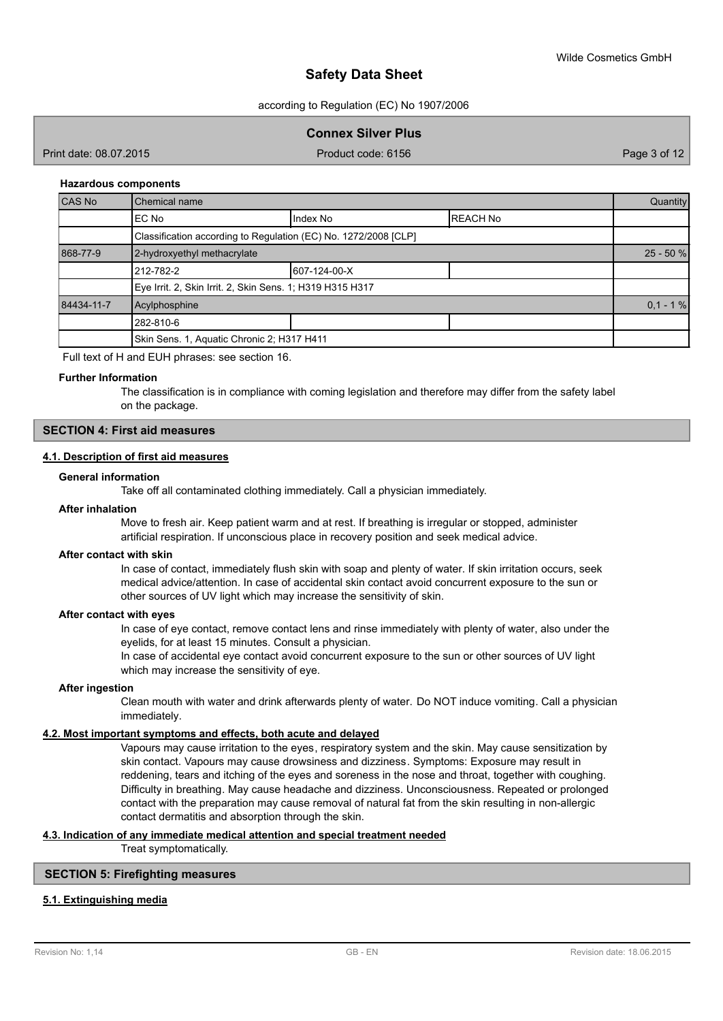according to Regulation (EC) No 1907/2006

**Connex Silver Plus**

Print date: 08.07.2015 Product code: 6156 Product code: 6156 Page 3 of 12

#### **Hazardous components**

| CAS No     | Chemical name                                                   |              |                 | Quantity    |  |  |
|------------|-----------------------------------------------------------------|--------------|-----------------|-------------|--|--|
|            | EC No                                                           | Index No     | <b>REACH No</b> |             |  |  |
|            | Classification according to Regulation (EC) No. 1272/2008 [CLP] |              |                 |             |  |  |
| 868-77-9   | 2-hydroxyethyl methacrylate                                     |              |                 | $25 - 50 %$ |  |  |
|            | 212-782-2                                                       | 607-124-00-X |                 |             |  |  |
|            | Eye Irrit. 2, Skin Irrit. 2, Skin Sens. 1; H319 H315 H317       |              |                 |             |  |  |
| 84434-11-7 | Acylphosphine                                                   |              |                 | $0.1 - 1%$  |  |  |
|            | 282-810-6                                                       |              |                 |             |  |  |
|            | Skin Sens. 1, Aquatic Chronic 2; H317 H411                      |              |                 |             |  |  |

Full text of H and EUH phrases: see section 16.

#### **Further Information**

The classification is in compliance with coming legislation and therefore may differ from the safety label on the package.

# **SECTION 4: First aid measures**

# **4.1. Description of first aid measures**

## **General information**

Take off all contaminated clothing immediately. Call a physician immediately.

#### **After inhalation**

Move to fresh air. Keep patient warm and at rest. If breathing is irregular or stopped, administer artificial respiration. If unconscious place in recovery position and seek medical advice.

#### **After contact with skin**

In case of contact, immediately flush skin with soap and plenty of water. If skin irritation occurs, seek medical advice/attention. In case of accidental skin contact avoid concurrent exposure to the sun or other sources of UV light which may increase the sensitivity of skin.

#### **After contact with eyes**

In case of eye contact, remove contact lens and rinse immediately with plenty of water, also under the eyelids, for at least 15 minutes. Consult a physician.

In case of accidental eye contact avoid concurrent exposure to the sun or other sources of UV light which may increase the sensitivity of eye.

## **After ingestion**

Clean mouth with water and drink afterwards plenty of water. Do NOT induce vomiting. Call a physician immediately.

#### **4.2. Most important symptoms and effects, both acute and delayed**

Vapours may cause irritation to the eyes, respiratory system and the skin. May cause sensitization by skin contact. Vapours may cause drowsiness and dizziness. Symptoms: Exposure may result in reddening, tears and itching of the eyes and soreness in the nose and throat, together with coughing. Difficulty in breathing. May cause headache and dizziness. Unconsciousness. Repeated or prolonged contact with the preparation may cause removal of natural fat from the skin resulting in non-allergic contact dermatitis and absorption through the skin.

# **4.3. Indication of any immediate medical attention and special treatment needed**

Treat symptomatically.

# **SECTION 5: Firefighting measures**

# **5.1. Extinguishing media**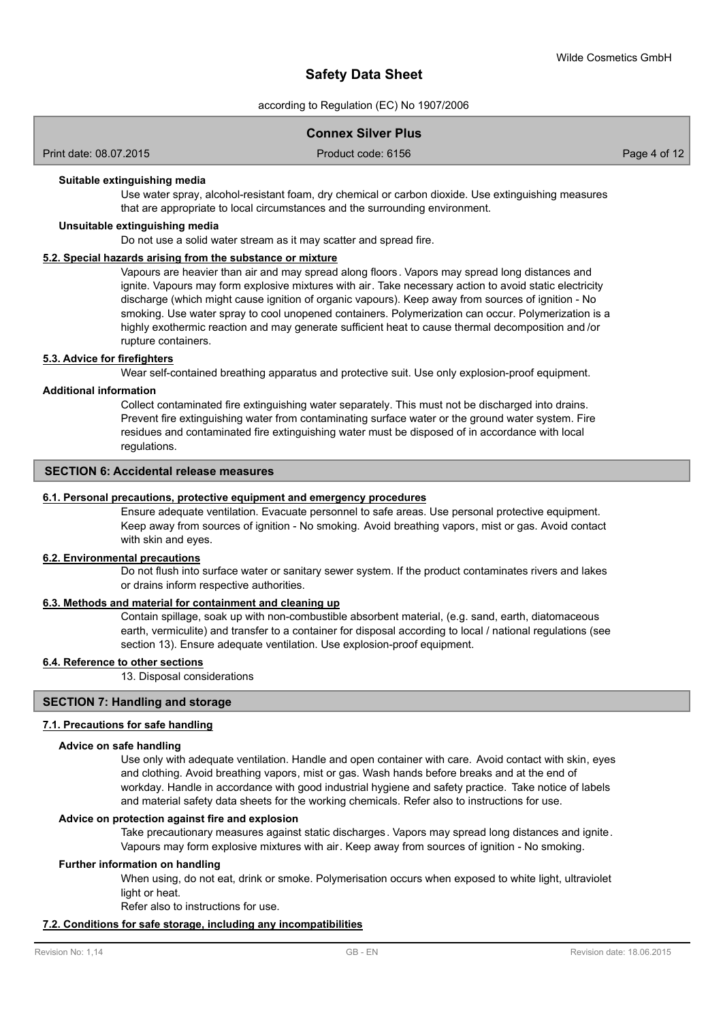according to Regulation (EC) No 1907/2006

# **Connex Silver Plus**

Print date: 08.07.2015 Product code: 6156 Product code: 6156 Page 4 of 12

#### **Suitable extinguishing media**

Use water spray, alcohol-resistant foam, dry chemical or carbon dioxide. Use extinguishing measures that are appropriate to local circumstances and the surrounding environment.

#### **Unsuitable extinguishing media**

Do not use a solid water stream as it may scatter and spread fire.

### **5.2. Special hazards arising from the substance or mixture**

Vapours are heavier than air and may spread along floors. Vapors may spread long distances and ignite. Vapours may form explosive mixtures with air. Take necessary action to avoid static electricity discharge (which might cause ignition of organic vapours). Keep away from sources of ignition - No smoking. Use water spray to cool unopened containers. Polymerization can occur. Polymerization is a highly exothermic reaction and may generate sufficient heat to cause thermal decomposition and /or rupture containers.

# **5.3. Advice for firefighters**

Wear self-contained breathing apparatus and protective suit. Use only explosion-proof equipment.

#### **Additional information**

Collect contaminated fire extinguishing water separately. This must not be discharged into drains. Prevent fire extinguishing water from contaminating surface water or the ground water system. Fire residues and contaminated fire extinguishing water must be disposed of in accordance with local regulations.

# **SECTION 6: Accidental release measures**

#### **6.1. Personal precautions, protective equipment and emergency procedures**

Ensure adequate ventilation. Evacuate personnel to safe areas. Use personal protective equipment. Keep away from sources of ignition - No smoking. Avoid breathing vapors, mist or gas. Avoid contact with skin and eyes.

#### **6.2. Environmental precautions**

Do not flush into surface water or sanitary sewer system. If the product contaminates rivers and lakes or drains inform respective authorities.

### **6.3. Methods and material for containment and cleaning up**

Contain spillage, soak up with non-combustible absorbent material, (e.g. sand, earth, diatomaceous earth, vermiculite) and transfer to a container for disposal according to local / national regulations (see section 13). Ensure adequate ventilation. Use explosion-proof equipment.

#### **6.4. Reference to other sections**

13. Disposal considerations

#### **SECTION 7: Handling and storage**

#### **7.1. Precautions for safe handling**

#### **Advice on safe handling**

Use only with adequate ventilation. Handle and open container with care. Avoid contact with skin, eyes and clothing. Avoid breathing vapors, mist or gas. Wash hands before breaks and at the end of workday. Handle in accordance with good industrial hygiene and safety practice. Take notice of labels and material safety data sheets for the working chemicals. Refer also to instructions for use.

#### **Advice on protection against fire and explosion**

Take precautionary measures against static discharges. Vapors may spread long distances and ignite. Vapours may form explosive mixtures with air. Keep away from sources of ignition - No smoking.

#### **Further information on handling**

When using, do not eat, drink or smoke. Polymerisation occurs when exposed to white light, ultraviolet light or heat.

Refer also to instructions for use.

#### **7.2. Conditions for safe storage, including any incompatibilities**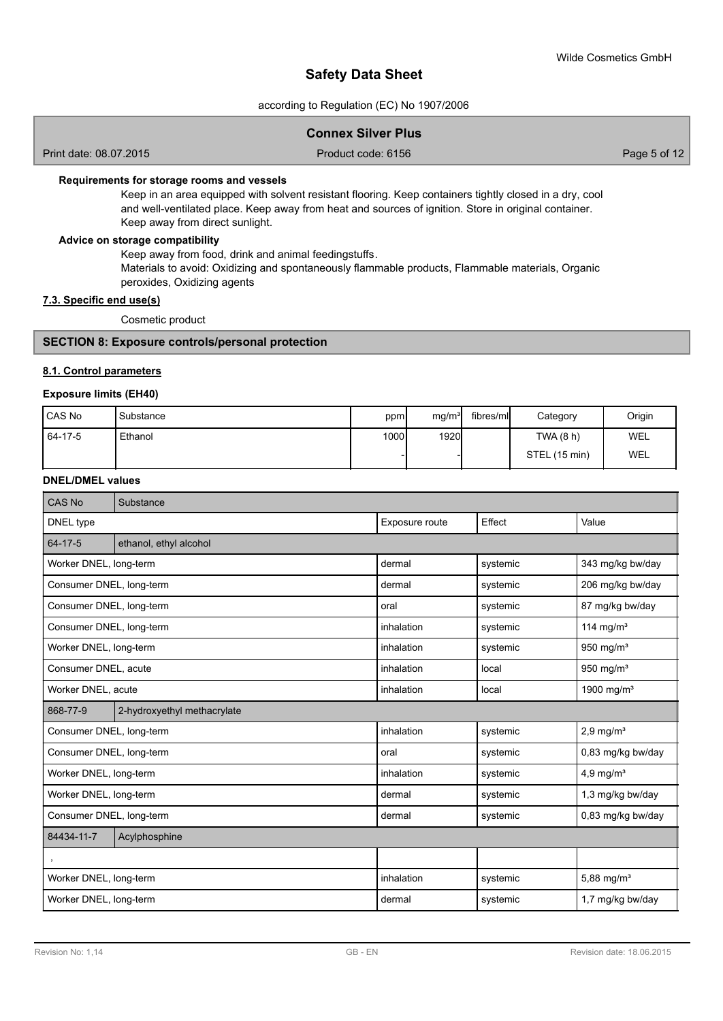according to Regulation (EC) No 1907/2006

|  | <b>Connex Silver Plus</b> |  |  |
|--|---------------------------|--|--|
|--|---------------------------|--|--|

Print date: 08.07.2015 **Product code: 6156** Page 5 of 12

# **Requirements for storage rooms and vessels**

Keep in an area equipped with solvent resistant flooring. Keep containers tightly closed in a dry, cool and well-ventilated place. Keep away from heat and sources of ignition. Store in original container. Keep away from direct sunlight.

# **Advice on storage compatibility**

Keep away from food, drink and animal feedingstuffs. Materials to avoid: Oxidizing and spontaneously flammable products, Flammable materials, Organic peroxides, Oxidizing agents

# **7.3. Specific end use(s)**

Cosmetic product

# **SECTION 8: Exposure controls/personal protection**

## **8.1. Control parameters**

# **Exposure limits (EH40)**

| l CAS No | Substance | ppm   | mg/m <sup>3</sup> | fibres/ml | Category      | Origin |
|----------|-----------|-------|-------------------|-----------|---------------|--------|
| 64-17-5  | Ethanol   | 1000l | 1920              |           | TWA(8 h)      | WEL    |
|          |           |       |                   |           | STEL (15 min) | WEL    |

## **DNEL/DMEL values**

| <b>CAS No</b>            | Substance                   |                |          |                         |  |  |  |
|--------------------------|-----------------------------|----------------|----------|-------------------------|--|--|--|
| DNEL type                |                             | Exposure route | Effect   | Value                   |  |  |  |
| 64-17-5                  | ethanol, ethyl alcohol      |                |          |                         |  |  |  |
| Worker DNEL, long-term   |                             | dermal         | systemic | 343 mg/kg bw/day        |  |  |  |
| Consumer DNEL, long-term |                             | dermal         | systemic | 206 mg/kg bw/day        |  |  |  |
| Consumer DNEL, long-term |                             | oral           | systemic | 87 mg/kg bw/day         |  |  |  |
| Consumer DNEL, long-term |                             | inhalation     | systemic | 114 mg/m <sup>3</sup>   |  |  |  |
| Worker DNEL, long-term   |                             | inhalation     | systemic | 950 mg/ $m3$            |  |  |  |
| Consumer DNEL, acute     |                             | inhalation     | local    | 950 mg/m <sup>3</sup>   |  |  |  |
| Worker DNEL, acute       |                             | inhalation     | local    | 1900 mg/m <sup>3</sup>  |  |  |  |
| 868-77-9                 | 2-hydroxyethyl methacrylate |                |          |                         |  |  |  |
| Consumer DNEL, long-term |                             | inhalation     | systemic | $2,9$ mg/m <sup>3</sup> |  |  |  |
| Consumer DNEL, long-term |                             | oral           | systemic | 0,83 mg/kg bw/day       |  |  |  |
| Worker DNEL, long-term   |                             | inhalation     | systemic | 4,9 mg/ $m3$            |  |  |  |
| Worker DNEL, long-term   |                             | dermal         | systemic | 1,3 mg/kg bw/day        |  |  |  |
| Consumer DNEL, long-term |                             | dermal         | systemic | 0,83 mg/kg bw/day       |  |  |  |
| 84434-11-7               | Acylphosphine               |                |          |                         |  |  |  |
| $\,$                     |                             |                |          |                         |  |  |  |
| Worker DNEL, long-term   |                             | inhalation     | systemic | 5,88 mg/ $m^3$          |  |  |  |
| Worker DNEL, long-term   |                             | dermal         | systemic | 1,7 mg/kg bw/day        |  |  |  |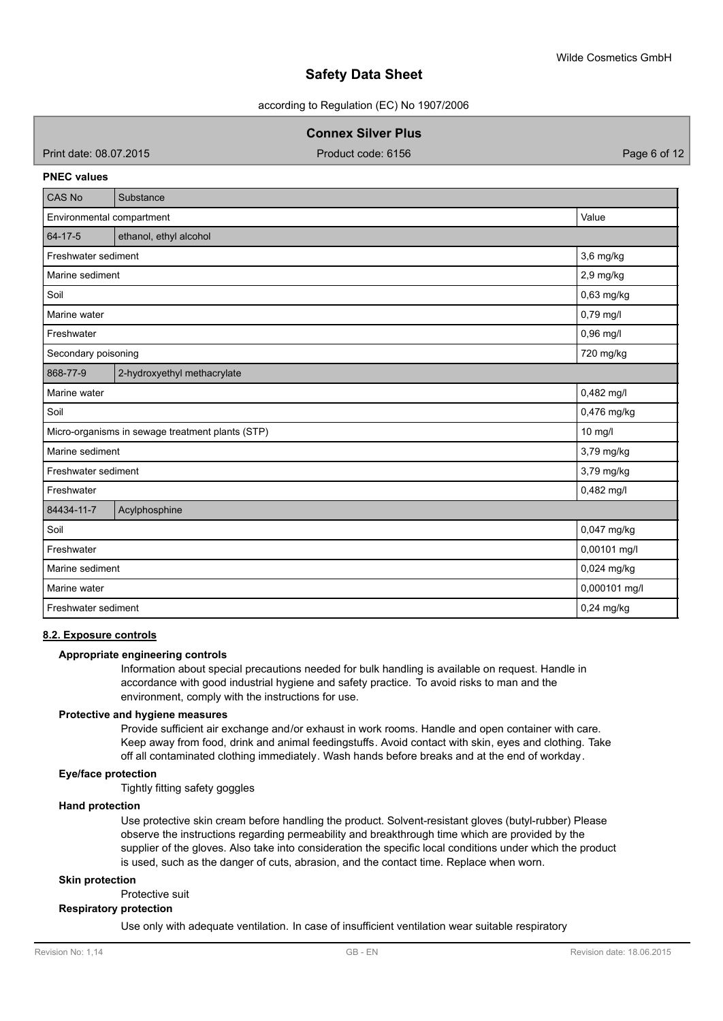according to Regulation (EC) No 1907/2006

**Connex Silver Plus**

Print date: 08.07.2015 **Product code: 6156** Page 6 of 12

#### **PNEC values**

| <b>CAS No</b>                                               | Substance                      |              |  |  |  |  |
|-------------------------------------------------------------|--------------------------------|--------------|--|--|--|--|
| Value<br>Environmental compartment                          |                                |              |  |  |  |  |
| $64 - 17 - 5$                                               | ethanol, ethyl alcohol         |              |  |  |  |  |
| Freshwater sediment                                         |                                | 3,6 mg/kg    |  |  |  |  |
| Marine sediment                                             |                                | 2,9 mg/kg    |  |  |  |  |
| Soil                                                        |                                | 0,63 mg/kg   |  |  |  |  |
| Marine water                                                |                                | 0,79 mg/l    |  |  |  |  |
| Freshwater                                                  |                                | 0,96 mg/l    |  |  |  |  |
| Secondary poisoning                                         |                                | 720 mg/kg    |  |  |  |  |
| 868-77-9<br>2-hydroxyethyl methacrylate                     |                                |              |  |  |  |  |
| Marine water                                                |                                | 0,482 mg/l   |  |  |  |  |
| 0,476 mg/kg<br>Soil                                         |                                |              |  |  |  |  |
| 10 mg/l<br>Micro-organisms in sewage treatment plants (STP) |                                |              |  |  |  |  |
| 3,79 mg/kg<br>Marine sediment                               |                                |              |  |  |  |  |
| Freshwater sediment                                         |                                | 3,79 mg/kg   |  |  |  |  |
| Freshwater                                                  |                                | 0,482 mg/l   |  |  |  |  |
| 84434-11-7                                                  | Acylphosphine                  |              |  |  |  |  |
| Soil                                                        |                                | 0,047 mg/kg  |  |  |  |  |
| 0,00101 mg/l<br>Freshwater                                  |                                |              |  |  |  |  |
|                                                             | 0,024 mg/kg<br>Marine sediment |              |  |  |  |  |
| Marine water                                                | 0,000101 mg/l                  |              |  |  |  |  |
| Freshwater sediment                                         |                                | $0,24$ mg/kg |  |  |  |  |

#### **8.2. Exposure controls**

#### **Appropriate engineering controls**

Information about special precautions needed for bulk handling is available on request. Handle in accordance with good industrial hygiene and safety practice. To avoid risks to man and the environment, comply with the instructions for use.

# **Protective and hygiene measures**

Provide sufficient air exchange and/or exhaust in work rooms. Handle and open container with care. Keep away from food, drink and animal feedingstuffs. Avoid contact with skin, eyes and clothing. Take off all contaminated clothing immediately. Wash hands before breaks and at the end of workday.

## **Eye/face protection**

Tightly fitting safety goggles

#### **Hand protection**

Use protective skin cream before handling the product. Solvent-resistant gloves (butyl-rubber) Please observe the instructions regarding permeability and breakthrough time which are provided by the supplier of the gloves. Also take into consideration the specific local conditions under which the product is used, such as the danger of cuts, abrasion, and the contact time. Replace when worn.

#### **Skin protection**

Protective suit

# **Respiratory protection**

Use only with adequate ventilation. In case of insufficient ventilation wear suitable respiratory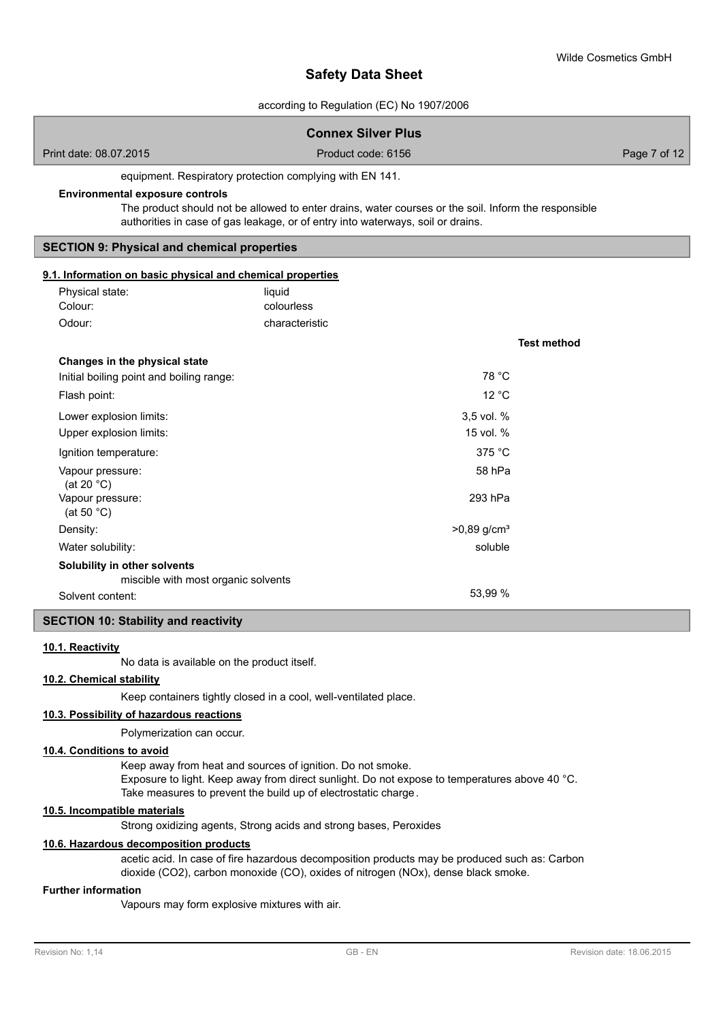according to Regulation (EC) No 1907/2006

|                                                                  | according to regulation (LO) NO 1507/2000                                                                                                                       |                           |              |  |  |  |  |
|------------------------------------------------------------------|-----------------------------------------------------------------------------------------------------------------------------------------------------------------|---------------------------|--------------|--|--|--|--|
| <b>Connex Silver Plus</b>                                        |                                                                                                                                                                 |                           |              |  |  |  |  |
| Print date: 08.07.2015                                           | Product code: 6156                                                                                                                                              |                           | Page 7 of 12 |  |  |  |  |
| equipment. Respiratory protection complying with EN 141.         |                                                                                                                                                                 |                           |              |  |  |  |  |
| <b>Environmental exposure controls</b>                           |                                                                                                                                                                 |                           |              |  |  |  |  |
|                                                                  | The product should not be allowed to enter drains, water courses or the soil. Inform the responsible                                                            |                           |              |  |  |  |  |
|                                                                  | authorities in case of gas leakage, or of entry into waterways, soil or drains.                                                                                 |                           |              |  |  |  |  |
| <b>SECTION 9: Physical and chemical properties</b>               |                                                                                                                                                                 |                           |              |  |  |  |  |
| 9.1. Information on basic physical and chemical properties       |                                                                                                                                                                 |                           |              |  |  |  |  |
| Physical state:                                                  | liquid                                                                                                                                                          |                           |              |  |  |  |  |
| Colour:                                                          | colourless                                                                                                                                                      |                           |              |  |  |  |  |
| Odour:                                                           | characteristic                                                                                                                                                  |                           |              |  |  |  |  |
|                                                                  |                                                                                                                                                                 | <b>Test method</b>        |              |  |  |  |  |
| Changes in the physical state                                    |                                                                                                                                                                 |                           |              |  |  |  |  |
| Initial boiling point and boiling range:                         |                                                                                                                                                                 | 78 °C                     |              |  |  |  |  |
| Flash point:                                                     |                                                                                                                                                                 | 12 °C                     |              |  |  |  |  |
| Lower explosion limits:                                          |                                                                                                                                                                 | 3,5 vol. %                |              |  |  |  |  |
| Upper explosion limits:                                          |                                                                                                                                                                 | 15 vol. %                 |              |  |  |  |  |
| Ignition temperature:                                            |                                                                                                                                                                 | 375 °C                    |              |  |  |  |  |
| Vapour pressure:                                                 |                                                                                                                                                                 | 58 hPa                    |              |  |  |  |  |
| (at 20 $°C$ )<br>Vapour pressure:                                |                                                                                                                                                                 | 293 hPa                   |              |  |  |  |  |
| (at 50 $°C$ )                                                    |                                                                                                                                                                 |                           |              |  |  |  |  |
| Density:                                                         |                                                                                                                                                                 | $>0,89$ g/cm <sup>3</sup> |              |  |  |  |  |
| Water solubility:                                                |                                                                                                                                                                 | soluble                   |              |  |  |  |  |
| Solubility in other solvents                                     |                                                                                                                                                                 |                           |              |  |  |  |  |
|                                                                  | miscible with most organic solvents                                                                                                                             |                           |              |  |  |  |  |
| Solvent content:                                                 |                                                                                                                                                                 | 53,99 %                   |              |  |  |  |  |
| <b>SECTION 10: Stability and reactivity</b>                      |                                                                                                                                                                 |                           |              |  |  |  |  |
| 10.1. Reactivity                                                 |                                                                                                                                                                 |                           |              |  |  |  |  |
|                                                                  | No data is available on the product itself.                                                                                                                     |                           |              |  |  |  |  |
| 10.2. Chemical stability                                         |                                                                                                                                                                 |                           |              |  |  |  |  |
| Keep containers tightly closed in a cool, well-ventilated place. |                                                                                                                                                                 |                           |              |  |  |  |  |
| 10.3. Possibility of hazardous reactions                         |                                                                                                                                                                 |                           |              |  |  |  |  |
| Polymerization can occur.                                        |                                                                                                                                                                 |                           |              |  |  |  |  |
| 10.4. Conditions to avoid                                        |                                                                                                                                                                 |                           |              |  |  |  |  |
|                                                                  | Keep away from heat and sources of ignition. Do not smoke.                                                                                                      |                           |              |  |  |  |  |
|                                                                  |                                                                                                                                                                 |                           |              |  |  |  |  |
|                                                                  | Exposure to light. Keep away from direct sunlight. Do not expose to temperatures above 40 °C.<br>Take measures to prevent the build up of electrostatic charge. |                           |              |  |  |  |  |

# **10.5. Incompatible materials**

Strong oxidizing agents, Strong acids and strong bases, Peroxides

# **10.6. Hazardous decomposition products**

acetic acid. In case of fire hazardous decomposition products may be produced such as: Carbon dioxide (CO2), carbon monoxide (CO), oxides of nitrogen (NOx), dense black smoke.

# **Further information**

Vapours may form explosive mixtures with air.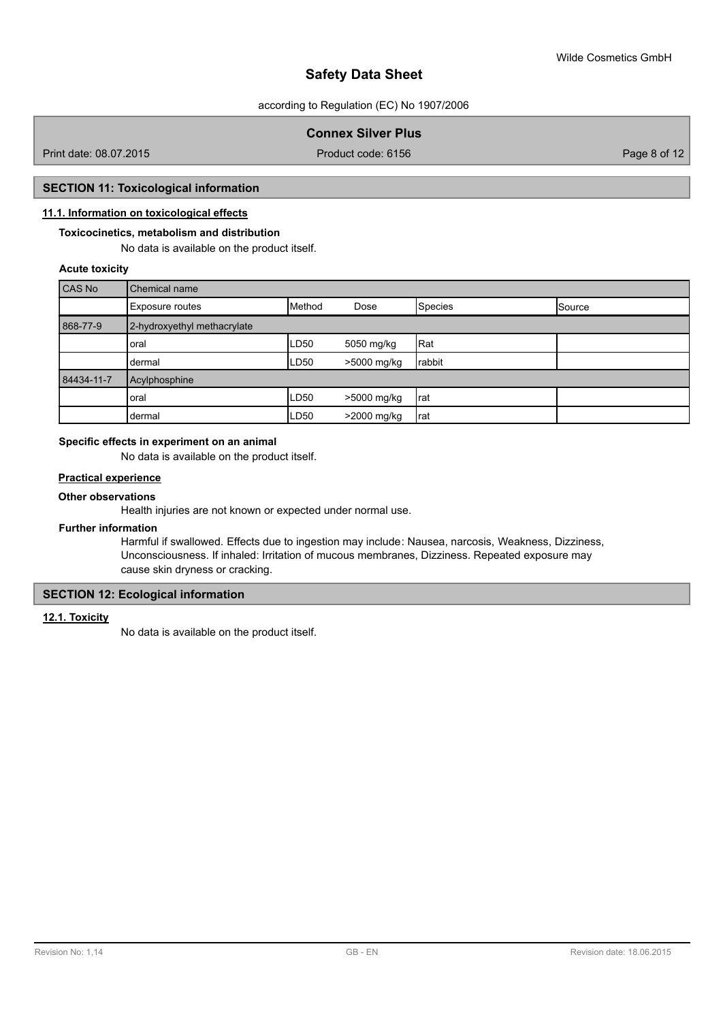according to Regulation (EC) No 1907/2006

# **Connex Silver Plus**

Print date: 08.07.2015 **Product code: 6156** Page 8 of 12

# **SECTION 11: Toxicological information**

# **11.1. Information on toxicological effects**

# **Toxicocinetics, metabolism and distribution**

No data is available on the product itself.

# **Acute toxicity**

| CAS No     | Chemical name               |             |             |         |               |  |  |  |
|------------|-----------------------------|-------------|-------------|---------|---------------|--|--|--|
|            | Exposure routes             | Method      | Dose        | Species | <b>Source</b> |  |  |  |
| 868-77-9   | 2-hydroxyethyl methacrylate |             |             |         |               |  |  |  |
|            | loral                       | <b>LD50</b> | 5050 mg/kg  | Rat     |               |  |  |  |
|            | Idermal                     | <b>LD50</b> | >5000 mg/kg | rabbit  |               |  |  |  |
| 84434-11-7 | Acylphosphine               |             |             |         |               |  |  |  |
|            | oral                        | <b>LD50</b> | >5000 mg/kg | 'rat    |               |  |  |  |
|            | dermal                      | <b>LD50</b> | >2000 mg/kg | rat     |               |  |  |  |

# **Specific effects in experiment on an animal**

No data is available on the product itself.

# **Practical experience**

# **Other observations**

Health injuries are not known or expected under normal use.

#### **Further information**

Harmful if swallowed. Effects due to ingestion may include: Nausea, narcosis, Weakness, Dizziness, Unconsciousness. If inhaled: Irritation of mucous membranes, Dizziness. Repeated exposure may cause skin dryness or cracking.

# **SECTION 12: Ecological information**

## **12.1. Toxicity**

No data is available on the product itself.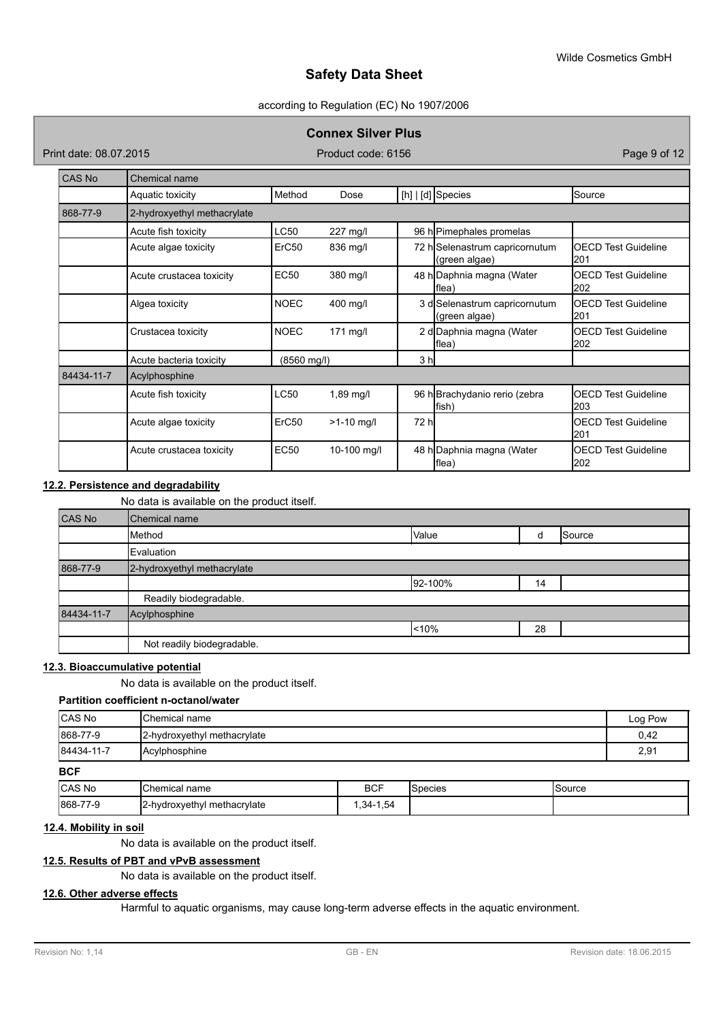### according to Regulation (EC) No 1907/2006

## **Connex Silver Plus**

Print date: 08.07.2015 **Product code: 6156** Product code: 6156 Page 9 of 12

| CAS No     | Chemical name               |                   |              |                |                                                 |                                    |  |  |
|------------|-----------------------------|-------------------|--------------|----------------|-------------------------------------------------|------------------------------------|--|--|
|            | Aquatic toxicity            | Method            | Dose         |                | $[h]   [d]$ Species                             | Source                             |  |  |
| 868-77-9   | 2-hydroxyethyl methacrylate |                   |              |                |                                                 |                                    |  |  |
|            | Acute fish toxicity         | <b>LC50</b>       | 227 mg/l     |                | 96 h Pimephales promelas                        |                                    |  |  |
|            | Acute algae toxicity        | ErC <sub>50</sub> | 836 mg/l     |                | 72 h Selenastrum capricornutum<br>(green algae) | <b>IOECD Test Guideline</b><br>201 |  |  |
|            | Acute crustacea toxicity    | <b>EC50</b>       | 380 mg/l     |                | 48 h Daphnia magna (Water<br>flea)              | <b>OECD Test Guideline</b><br>202  |  |  |
|            | Algea toxicity              | NOEC              | 400 mg/l     |                | 3 d Selenastrum capricornutum<br>(green algae)  | <b>IOECD Test Guideline</b><br>201 |  |  |
|            | Crustacea toxicity          | <b>NOEC</b>       | $171$ mg/l   |                | 2 d Daphnia magna (Water<br>lflea)              | <b>OECD Test Guideline</b><br>202  |  |  |
|            | Acute bacteria toxicity     | (8560 mg/l)       |              | 3 <sub>h</sub> |                                                 |                                    |  |  |
| 84434-11-7 | Acylphosphine               |                   |              |                |                                                 |                                    |  |  |
|            | Acute fish toxicity         | <b>LC50</b>       | 1,89 mg/l    |                | 96 h Brachydanio rerio (zebra<br>fish)          | <b>OECD Test Guideline</b><br>203  |  |  |
|            | Acute algae toxicity        | ErC <sub>50</sub> | $>1-10$ mg/l | 72 hl          |                                                 | <b>OECD Test Guideline</b><br>201  |  |  |
|            | Acute crustacea toxicity    | <b>EC50</b>       | 10-100 mg/l  |                | 48 h Daphnia magna (Water<br>flea)              | <b>OECD Test Guideline</b><br>202  |  |  |

# **12.2. Persistence and degradability**

No data is available on the product itself.

| CAS No     | Chemical name               |         |    |        |  |  |  |  |
|------------|-----------------------------|---------|----|--------|--|--|--|--|
|            | Method                      | Value   | d  | Source |  |  |  |  |
|            | Evaluation                  |         |    |        |  |  |  |  |
| 868-77-9   | 2-hydroxyethyl methacrylate |         |    |        |  |  |  |  |
|            |                             | 92-100% | 14 |        |  |  |  |  |
|            | Readily biodegradable.      |         |    |        |  |  |  |  |
| 84434-11-7 | Acylphosphine               |         |    |        |  |  |  |  |
|            |                             | 10%     | 28 |        |  |  |  |  |
|            | Not readily biodegradable.  |         |    |        |  |  |  |  |

# **12.3. Bioaccumulative potential**

No data is available on the product itself.

# **Partition coefficient n-octanol/water**

| <b>CAS No</b>   | <b>IChemical name</b>       |            |                  |        | Log Pow |
|-----------------|-----------------------------|------------|------------------|--------|---------|
| 868-77-9        | 2-hydroxyethyl methacrylate |            |                  |        | 0,42    |
| 84434-11-7      | Acylphosphine               |            |                  |        | 2,91    |
| <b>BCF</b>      |                             |            |                  |        |         |
| $C^{\text{AC}}$ | $l$ Chamical namo           | <b>DOC</b> | <b>IC</b> posice | Conrra |         |

| $  -$    |                                   |                          |         |        |
|----------|-----------------------------------|--------------------------|---------|--------|
| CAS No   | Chemical name                     | <b>BCF</b>               | Species | Source |
| 868-77-9 | 12-hydroxyethyl<br>l methacrylate | $ -$<br>. 34.<br>- 54، ، |         |        |

# **12.4. Mobility in soil**

No data is available on the product itself.

# **12.5. Results of PBT and vPvB assessment**

No data is available on the product itself.

# **12.6. Other adverse effects**

Harmful to aquatic organisms, may cause long-term adverse effects in the aquatic environment.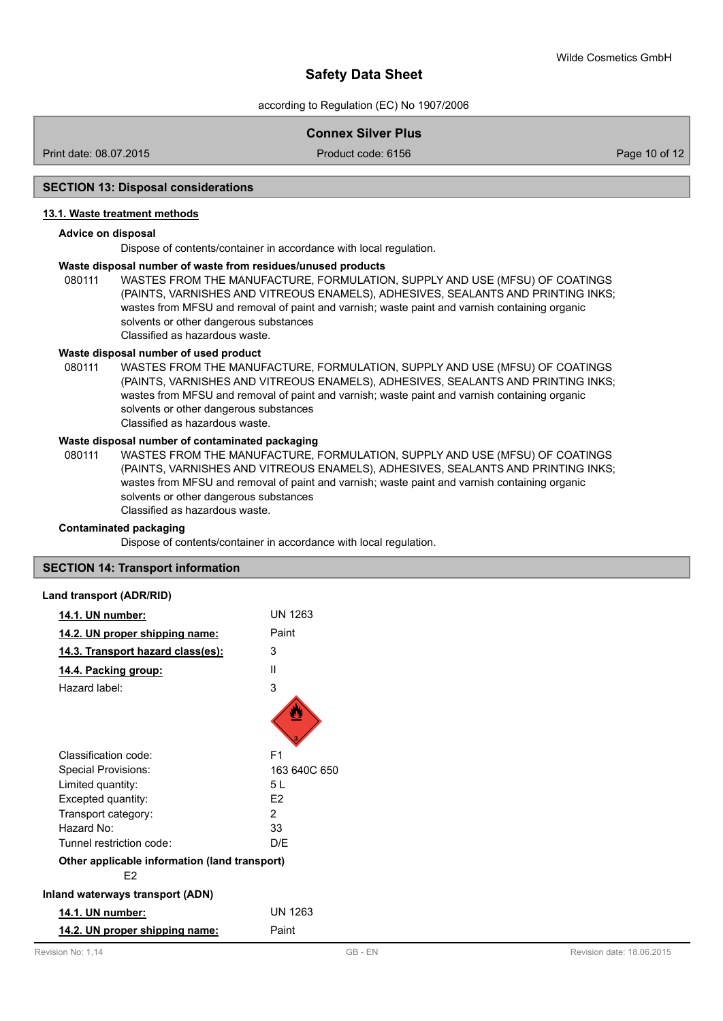according to Regulation (EC) No 1907/2006

# **Connex Silver Plus**

Print date: 08.07.2015 **Product code: 6156** Product code: 6156 **Product code: 6156** Page 10 of 12

## **SECTION 13: Disposal considerations**

#### **13.1. Waste treatment methods**

#### **Advice on disposal**

Dispose of contents/container in accordance with local regulation.

#### **Waste disposal number of waste from residues/unused products**

080111 WASTES FROM THE MANUFACTURE, FORMULATION, SUPPLY AND USE (MFSU) OF COATINGS (PAINTS, VARNISHES AND VITREOUS ENAMELS), ADHESIVES, SEALANTS AND PRINTING INKS; wastes from MFSU and removal of paint and varnish; waste paint and varnish containing organic solvents or other dangerous substances Classified as hazardous waste.

## **Waste disposal number of used product**

WASTES FROM THE MANUFACTURE, FORMULATION, SUPPLY AND USE (MFSU) OF COATINGS (PAINTS, VARNISHES AND VITREOUS ENAMELS), ADHESIVES, SEALANTS AND PRINTING INKS; wastes from MFSU and removal of paint and varnish; waste paint and varnish containing organic solvents or other dangerous substances Classified as hazardous waste. 080111

# **Waste disposal number of contaminated packaging**

WASTES FROM THE MANUFACTURE, FORMULATION, SUPPLY AND USE (MFSU) OF COATINGS (PAINTS, VARNISHES AND VITREOUS ENAMELS), ADHESIVES, SEALANTS AND PRINTING INKS; wastes from MFSU and removal of paint and varnish; waste paint and varnish containing organic solvents or other dangerous substances Classified as hazardous waste. 080111

#### **Contaminated packaging**

Dispose of contents/container in accordance with local regulation.

#### **SECTION 14: Transport information**

#### **Land transport (ADR/RID)**

| 14.1. UN number:                                                | UN 1263        |
|-----------------------------------------------------------------|----------------|
| 14.2. UN proper shipping name:                                  | Paint          |
| 14.3. Transport hazard class(es):                               | 3              |
| <u>14.4. Packing group:</u>                                     | Ш              |
| Hazard label:                                                   | 3              |
|                                                                 |                |
| Classification code:                                            | F <sub>1</sub> |
| Special Provisions:                                             | 163 640C 650   |
| Limited quantity:                                               | 51             |
| Excepted quantity:                                              | F <sub>2</sub> |
| Transport category:                                             | 2              |
| Hazard No:                                                      | 33             |
| Tunnel restriction code:                                        | D/F            |
| Other applicable information (land transport)<br>F <sub>2</sub> |                |
| <b>Inland waterways transport (ADN)</b>                         |                |
| 14.1. UN number:                                                | <b>UN 1263</b> |
| 14.2. UN proper shipping name:                                  | Paint          |
|                                                                 |                |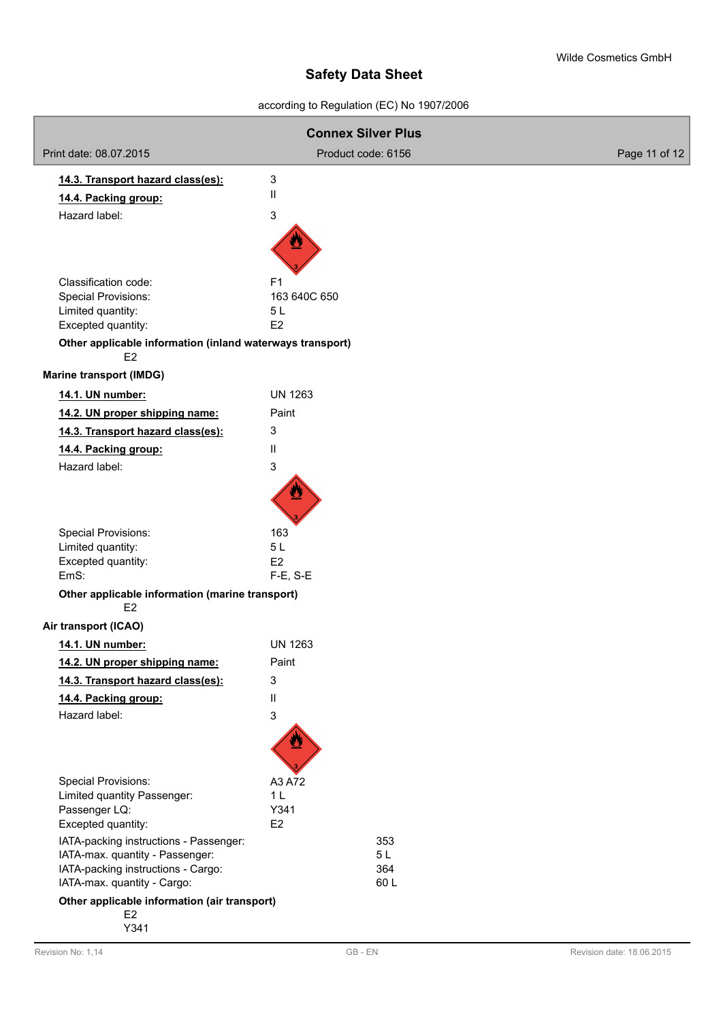# according to Regulation (EC) No 1907/2006

|                                                                             | <b>Connex Silver Plus</b> |               |
|-----------------------------------------------------------------------------|---------------------------|---------------|
| Print date: 08.07.2015                                                      | Product code: 6156        | Page 11 of 12 |
| 14.3. Transport hazard class(es):                                           | 3                         |               |
| 14.4. Packing group:                                                        | $\mathbf{H}$              |               |
| Hazard label:                                                               | 3                         |               |
|                                                                             |                           |               |
| Classification code:                                                        | F1                        |               |
| <b>Special Provisions:</b>                                                  | 163 640C 650              |               |
| Limited quantity:<br>Excepted quantity:                                     | 5L<br>E <sub>2</sub>      |               |
|                                                                             |                           |               |
| Other applicable information (inland waterways transport)<br>E <sub>2</sub> |                           |               |
| <b>Marine transport (IMDG)</b>                                              |                           |               |
| 14.1. UN number:                                                            | <b>UN 1263</b>            |               |
| 14.2. UN proper shipping name:                                              | Paint                     |               |
| 14.3. Transport hazard class(es):                                           | 3                         |               |
| 14.4. Packing group:                                                        | Ш                         |               |
| Hazard label:                                                               | 3                         |               |
| Special Provisions:<br>Limited quantity:                                    | 163<br>5L                 |               |
| Excepted quantity:                                                          | E <sub>2</sub>            |               |
| EmS:                                                                        | F-E, S-E                  |               |
| Other applicable information (marine transport)<br>E <sub>2</sub>           |                           |               |
| Air transport (ICAO)                                                        |                           |               |
| 14.1. UN number:                                                            | <b>UN 1263</b>            |               |
| 14.2. UN proper shipping name:                                              | Paint                     |               |
| 14.3. Transport hazard class(es):                                           | 3                         |               |
| 14.4. Packing group:                                                        | Ш                         |               |
| Hazard label:                                                               | 3                         |               |
| Special Provisions:                                                         | A3 A72                    |               |
| Limited quantity Passenger:                                                 | 1 <sub>L</sub>            |               |
| Passenger LQ:<br>Excepted quantity:                                         | Y341<br>E <sub>2</sub>    |               |
| IATA-packing instructions - Passenger:                                      | 353                       |               |
| IATA-max. quantity - Passenger:                                             | 5L                        |               |
| IATA-packing instructions - Cargo:                                          | 364                       |               |
| IATA-max. quantity - Cargo:                                                 | 60L                       |               |
| Other applicable information (air transport)<br>E <sub>2</sub><br>Y341      |                           |               |